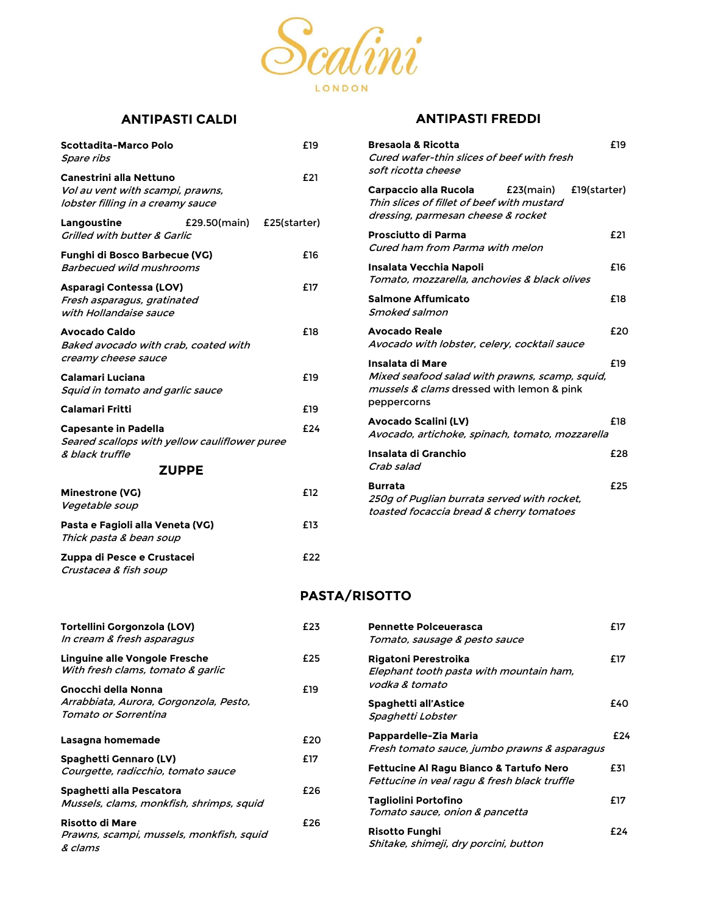

# ANTIPASTI CALDI

| Scottadita-Marco Polo<br>Spare ribs                                                              |              | £19          |
|--------------------------------------------------------------------------------------------------|--------------|--------------|
| Canestrini alla Nettuno<br>Vol au vent with scampi, prawns,<br>lobster filling in a creamy sauce |              | £21          |
| Langoustine<br><b>Grilled with butter &amp; Garlic</b>                                           | £29.50(main) | £25(starter) |
| Funghi di Bosco Barbecue (VG)<br>Barbecued wild mushrooms                                        |              | £16          |
| Asparagi Contessa (LOV)<br>Fresh asparagus, gratinated<br>with Hollandaise sauce                 |              | £17          |
| <b>Avocado Caldo</b><br>Baked avocado with crab, coated with<br>creamy cheese sauce              |              | £18          |
| Calamari Luciana<br>Squid in tomato and garlic sauce                                             |              | £19          |
| <b>Calamari Fritti</b>                                                                           |              | £19          |
| <b>Capesante in Padella</b><br>Seared scallops with yellow cauliflower puree<br>& black truffle  |              | £24          |
| <b>ZUPPE</b>                                                                                     |              |              |
| <b>Minestrone (VG)</b><br>Vegetable soup                                                         |              | £12          |
| Pasta e Fagioli alla Veneta (VG)<br>Thick pasta & bean soup                                      |              | £13          |
| Zuppa di Pesce e Crustacei<br>Crustacea & fish soup                                              |              | £22          |

## ANTIPASTI FREDDI

| <b>Bresaola &amp; Ricotta</b><br>Cured wafer-thin slices of beef with fresh<br>soft ricotta cheese                                   | £19 |
|--------------------------------------------------------------------------------------------------------------------------------------|-----|
| Carpaccio alla Rucola (E23(main)<br>£19(starter)<br>Thin slices of fillet of beef with mustard<br>dressing, parmesan cheese & rocket |     |
| Prosciutto di Parma<br>Cured ham from Parma with melon                                                                               | £21 |
| Insalata Vecchia Napoli<br>Tomato, mozzarella, anchovies & black olives                                                              | £16 |
| <b>Salmone Affumicato</b><br>Smoked salmon                                                                                           | £18 |
| <b>Avocado Reale</b><br>Avocado with lobster, celery, cocktail sauce                                                                 | £20 |
| Insalata di Mare<br>Mixed seafood salad with prawns, scamp, squid,<br>mussels & clams dressed with lemon & pink<br>peppercorns       | £19 |
| <b>Avocado Scalini (LV)</b><br>Avocado, artichoke, spinach, tomato, mozzarella                                                       | £18 |
| Insalata di Granchio<br>Crab salad                                                                                                   | £28 |
| <b>Burrata</b><br>250q of Puglian burrata served with rocket,<br>toasted focaccia bread & cherry tomatoes                            | £25 |

### PASTA/RISOTTO

| Tortellini Gorgonzola (LOV)<br>In cream & fresh asparagus                     | £23 | <b>Pennette Polceuerasca</b><br>Tomato, sausage & pesto sauce                                      | £17 |
|-------------------------------------------------------------------------------|-----|----------------------------------------------------------------------------------------------------|-----|
| Linguine alle Vongole Fresche<br>With fresh clams, tomato & garlic            | £25 | Rigatoni Perestroika<br>Elephant tooth pasta with mountain ham,                                    | £17 |
| Gnocchi della Nonna                                                           | £19 | vodka & tomato                                                                                     |     |
| Arrabbiata, Aurora, Gorgonzola, Pesto,<br>Tomato or Sorrentina                |     | Spaghetti all'Astice<br>Spaghetti Lobster                                                          | £40 |
| Lasagna homemade                                                              | £20 | Pappardelle-Zia Maria<br>Fresh tomato sauce, jumbo prawns & asparagus                              | £24 |
| Spaghetti Gennaro (LV)<br>Courgette, radicchio, tomato sauce                  | £17 | <b>Fettucine Al Ragu Bianco &amp; Tartufo Nero</b><br>Fettucine in veal ragu & fresh black truffle | £31 |
| Spaghetti alla Pescatora<br>Mussels, clams, monkfish, shrimps, squid          | £26 | Tagliolini Portofino<br>Tomato sauce, onion & pancetta                                             | £17 |
| <b>Risotto di Mare</b><br>Prawns, scampi, mussels, monkfish, squid<br>& clams | £26 | <b>Risotto Funghi</b><br>Shitake, shimeji, dry porcini, button                                     | £24 |